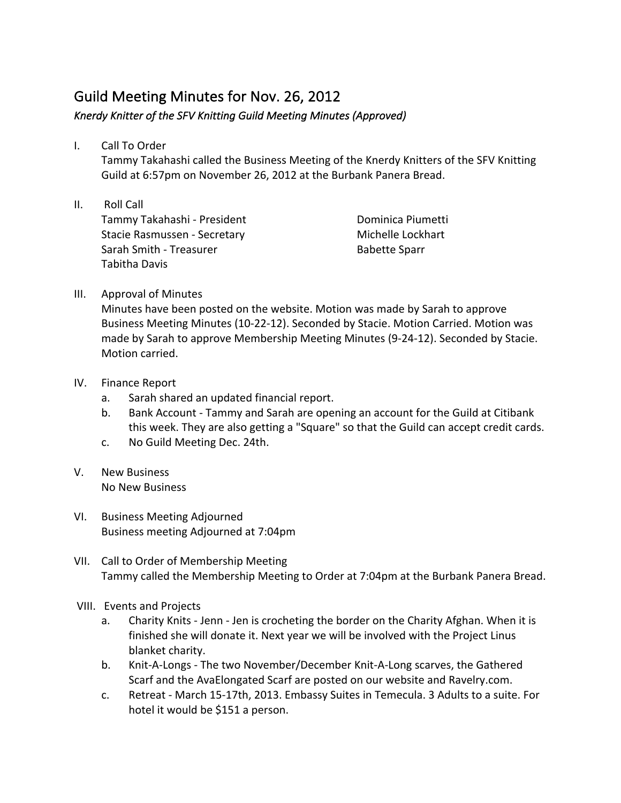## Guild Meeting Minutes for Nov. 26, 2012

Knerdy Knitter of the SFV Knitting Guild Meeting Minutes (Approved)

I. Call To Order

Tammy Takahashi called the Business Meeting of the Knerdy Knitters of the SFV Knitting Guild at 6:57pm on November 26, 2012 at the Burbank Panera Bread.

II. Roll Call Tammy Takahashi - President Stacie Rasmussen - Secretary Sarah Smith - Treasurer Tabitha Davis

Dominica Piumetti Michelle Lockhart Babette Sparr

III. Approval of Minutes

Minutes have been posted on the website. Motion was made by Sarah to approve Business Meeting Minutes (10-22-12). Seconded by Stacie. Motion Carried. Motion was made by Sarah to approve Membership Meeting Minutes (9-24-12). Seconded by Stacie. Motion carried.

- IV. Finance Report
	- a. Sarah shared an updated financial report.
	- b. Bank Account Tammy and Sarah are opening an account for the Guild at Citibank this week. They are also getting a "Square" so that the Guild can accept credit cards.
	- c. No Guild Meeting Dec. 24th.
- V. New Business No New Business
- VI. Business Meeting Adjourned Business meeting Adjourned at 7:04pm
- VII. Call to Order of Membership Meeting Tammy called the Membership Meeting to Order at 7:04pm at the Burbank Panera Bread.
- VIII. Events and Projects
	- a. Charity Knits Jenn Jen is crocheting the border on the Charity Afghan. When it is finished she will donate it. Next year we will be involved with the Project Linus blanket charity.
	- b. Knit-A-Longs The two November/December Knit-A-Long scarves, the Gathered Scarf and the AvaElongated Scarf are posted on our website and Ravelry.com.
	- c. Retreat March 15-17th, 2013. Embassy Suites in Temecula. 3 Adults to a suite. For hotel it would be \$151 a person.